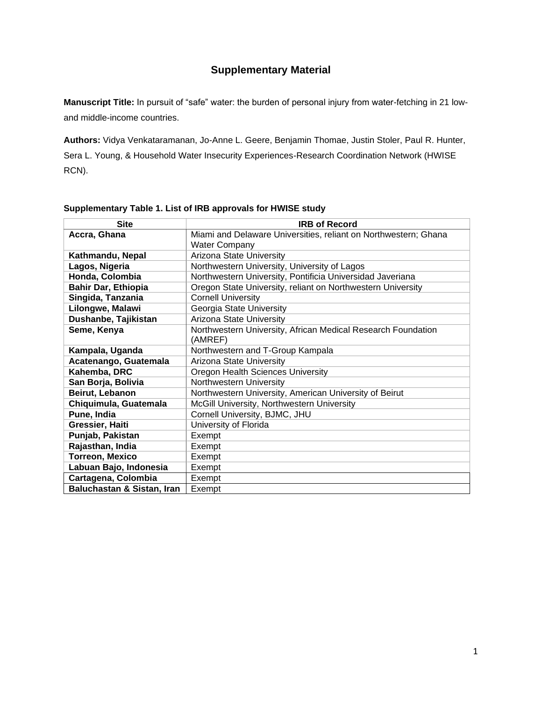# **Supplementary Material**

**Manuscript Title:** In pursuit of "safe" water: the burden of personal injury from water-fetching in 21 lowand middle-income countries.

**Authors:** Vidya Venkataramanan, Jo-Anne L. Geere, Benjamin Thomae, Justin Stoler, Paul R. Hunter, Sera L. Young, & Household Water Insecurity Experiences-Research Coordination Network (HWISE RCN).

| <b>Site</b>                | <b>IRB of Record</b>                                            |
|----------------------------|-----------------------------------------------------------------|
| Accra, Ghana               | Miami and Delaware Universities, reliant on Northwestern; Ghana |
|                            | <b>Water Company</b>                                            |
| Kathmandu, Nepal           | Arizona State University                                        |
| Lagos, Nigeria             | Northwestern University, University of Lagos                    |
| Honda, Colombia            | Northwestern University, Pontificia Universidad Javeriana       |
| <b>Bahir Dar, Ethiopia</b> | Oregon State University, reliant on Northwestern University     |
| Singida, Tanzania          | <b>Cornell University</b>                                       |
| Lilongwe, Malawi           | Georgia State University                                        |
| Dushanbe, Tajikistan       | Arizona State University                                        |
| Seme, Kenya                | Northwestern University, African Medical Research Foundation    |
|                            | (AMREF)                                                         |
| Kampala, Uganda            | Northwestern and T-Group Kampala                                |
| Acatenango, Guatemala      | Arizona State University                                        |
| Kahemba, DRC               | Oregon Health Sciences University                               |
| San Borja, Bolivia         | Northwestern University                                         |
| Beirut, Lebanon            | Northwestern University, American University of Beirut          |
| Chiquimula, Guatemala      | McGill University, Northwestern University                      |
| Pune, India                | Cornell University, BJMC, JHU                                   |
| Gressier, Haiti            | University of Florida                                           |
| Punjab, Pakistan           | Exempt                                                          |
| Rajasthan, India           | Exempt                                                          |
| <b>Torreon, Mexico</b>     | Exempt                                                          |
| Labuan Bajo, Indonesia     | Exempt                                                          |
| Cartagena, Colombia        | Exempt                                                          |
| Baluchastan & Sistan, Iran | Exempt                                                          |

#### **Supplementary Table 1. List of IRB approvals for HWISE study**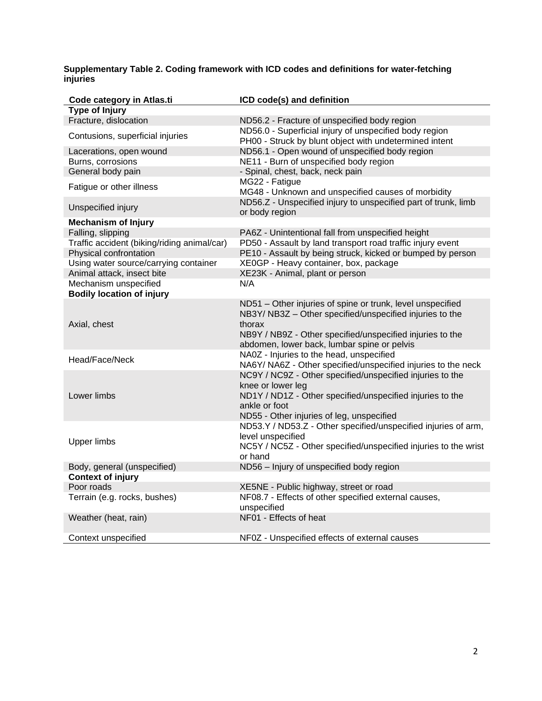#### **Supplementary Table 2. Coding framework with ICD codes and definitions for water-fetching injuries**

| Code category in Atlas.ti                   | ICD code(s) and definition                                                                                                       |
|---------------------------------------------|----------------------------------------------------------------------------------------------------------------------------------|
| Type of Injury                              |                                                                                                                                  |
| Fracture, dislocation                       | ND56.2 - Fracture of unspecified body region                                                                                     |
| Contusions, superficial injuries            | ND56.0 - Superficial injury of unspecified body region<br>PH00 - Struck by blunt object with undetermined intent                 |
| Lacerations, open wound                     | ND56.1 - Open wound of unspecified body region                                                                                   |
| Burns, corrosions                           | NE11 - Burn of unspecified body region                                                                                           |
| General body pain                           | - Spinal, chest, back, neck pain                                                                                                 |
| Fatigue or other illness                    | MG22 - Fatigue<br>MG48 - Unknown and unspecified causes of morbidity                                                             |
| Unspecified injury                          | ND56.Z - Unspecified injury to unspecified part of trunk, limb<br>or body region                                                 |
| <b>Mechanism of Injury</b>                  |                                                                                                                                  |
| Falling, slipping                           | PA6Z - Unintentional fall from unspecified height                                                                                |
| Traffic accident (biking/riding animal/car) | PD50 - Assault by land transport road traffic injury event                                                                       |
| Physical confrontation                      | PE10 - Assault by being struck, kicked or bumped by person                                                                       |
| Using water source/carrying container       | XE0GP - Heavy container, box, package                                                                                            |
| Animal attack, insect bite                  | XE23K - Animal, plant or person                                                                                                  |
| Mechanism unspecified                       | N/A                                                                                                                              |
| <b>Bodily location of injury</b>            |                                                                                                                                  |
| Axial, chest                                | ND51 - Other injuries of spine or trunk, level unspecified<br>NB3Y/ NB3Z - Other specified/unspecified injuries to the<br>thorax |
|                                             | NB9Y / NB9Z - Other specified/unspecified injuries to the<br>abdomen, lower back, lumbar spine or pelvis                         |
| Head/Face/Neck                              | NA0Z - Injuries to the head, unspecified<br>NA6Y/ NA6Z - Other specified/unspecified injuries to the neck                        |
|                                             | NC9Y / NC9Z - Other specified/unspecified injuries to the<br>knee or lower leg                                                   |
| Lower limbs                                 | ND1Y / ND1Z - Other specified/unspecified injuries to the<br>ankle or foot                                                       |
|                                             | ND55 - Other injuries of leg, unspecified<br>ND53.Y / ND53.Z - Other specified/unspecified injuries of arm,<br>level unspecified |
| <b>Upper limbs</b>                          | NC5Y / NC5Z - Other specified/unspecified injuries to the wrist<br>or hand                                                       |
| Body, general (unspecified)                 | ND56 - Injury of unspecified body region                                                                                         |
| <b>Context of injury</b>                    |                                                                                                                                  |
| Poor roads                                  | XE5NE - Public highway, street or road                                                                                           |
| Terrain (e.g. rocks, bushes)                | NF08.7 - Effects of other specified external causes,<br>unspecified                                                              |
| Weather (heat, rain)                        | NF01 - Effects of heat                                                                                                           |
| Context unspecified                         | NF0Z - Unspecified effects of external causes                                                                                    |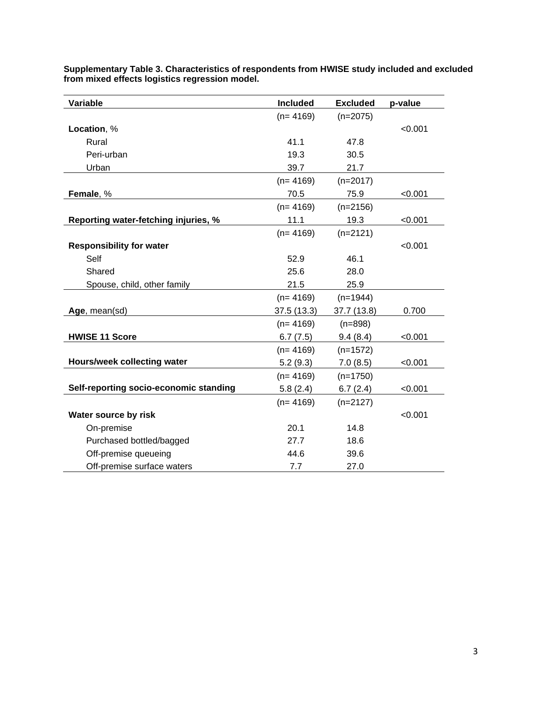| Variable                               | Included   | <b>Excluded</b> | p-value |
|----------------------------------------|------------|-----------------|---------|
|                                        | $(n=4169)$ | $(n=2075)$      |         |
| Location, %                            |            |                 | < 0.001 |
| Rural                                  | 41.1       | 47.8            |         |
| Peri-urban                             | 19.3       | 30.5            |         |
| Urban                                  | 39.7       | 21.7            |         |
|                                        | $(n=4169)$ | $(n=2017)$      |         |
| Female, %                              | 70.5       | 75.9            | < 0.001 |
|                                        | $(n=4169)$ | $(n=2156)$      |         |
| Reporting water-fetching injuries, %   | 11.1       | 19.3            | < 0.001 |
|                                        | $(n=4169)$ | $(n=2121)$      |         |
| <b>Responsibility for water</b>        |            |                 | < 0.001 |
| Self                                   | 52.9       | 46.1            |         |
| Shared                                 | 25.6       | 28.0            |         |
| Spouse, child, other family            | 21.5       | 25.9            |         |
|                                        | $(n=4169)$ | $(n=1944)$      |         |
| Age, mean(sd)                          | 37.5(13.3) | 37.7 (13.8)     | 0.700   |
|                                        | $(n=4169)$ | $(n=898)$       |         |
| <b>HWISE 11 Score</b>                  | 6.7(7.5)   | 9.4(8.4)        | < 0.001 |
|                                        | $(n=4169)$ | $(n=1572)$      |         |
| Hours/week collecting water            | 5.2(9.3)   | 7.0(8.5)        | < 0.001 |
|                                        | $(n=4169)$ | $(n=1750)$      |         |
| Self-reporting socio-economic standing | 5.8(2.4)   | 6.7(2.4)        | < 0.001 |
|                                        | $(n=4169)$ | $(n=2127)$      |         |
| Water source by risk                   |            |                 | < 0.001 |
| On-premise                             | 20.1       | 14.8            |         |
| Purchased bottled/bagged               | 27.7       | 18.6            |         |
| Off-premise queueing                   | 44.6       | 39.6            |         |
| Off-premise surface waters             | 7.7        | 27.0            |         |

**Supplementary Table 3. Characteristics of respondents from HWISE study included and excluded from mixed effects logistics regression model.**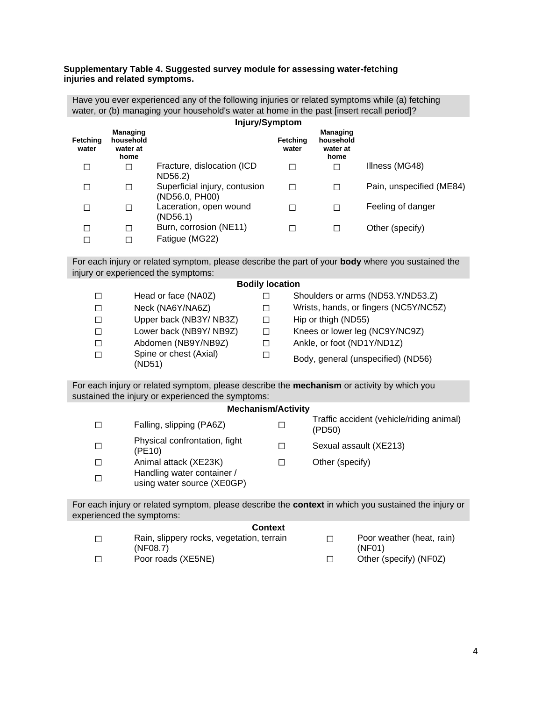#### **Supplementary Table 4. Suggested survey module for assessing water-fetching injuries and related symptoms.**

Have you ever experienced any of the following injuries or related symptoms while (a) fetching water, or (b) managing your household's water at home in the past [insert recall period]? **Injury/Symptom**

|                   |                                                  | <b>IIIJUI JIU JIIIPIUIII</b>                    |                   |                                                  |                          |
|-------------------|--------------------------------------------------|-------------------------------------------------|-------------------|--------------------------------------------------|--------------------------|
| Fetching<br>water | <b>Managing</b><br>household<br>water at<br>home |                                                 | Fetching<br>water | <b>Managing</b><br>household<br>water at<br>home |                          |
|                   | □                                                | Fracture, dislocation (ICD)<br>ND56.2)          |                   |                                                  | Illness (MG48)           |
|                   |                                                  | Superficial injury, contusion<br>(ND56.0, PH00) |                   |                                                  | Pain, unspecified (ME84) |
|                   |                                                  | Laceration, open wound<br>(ND56.1)              |                   |                                                  | Feeling of danger        |
|                   |                                                  | Burn, corrosion (NE11)                          |                   |                                                  | Other (specify)          |
|                   |                                                  | Fatigue (MG22)                                  |                   |                                                  |                          |

For each injury or related symptom, please describe the part of your **body** where you sustained the injury or experienced the symptoms:

|                                  | <b>POMILY IVOULIVII</b> |                                       |
|----------------------------------|-------------------------|---------------------------------------|
| Head or face (NA0Z)              |                         | Shoulders or arms (ND53.Y/ND53.Z)     |
| Neck (NA6Y/NA6Z)                 |                         | Wrists, hands, or fingers (NC5Y/NC5Z) |
| Upper back (NB3Y/NB3Z)           | $\mathsf{L}$            | Hip or thigh (ND55)                   |
| Lower back (NB9Y/NB9Z)           |                         | Knees or lower leg (NC9Y/NC9Z)        |
| Abdomen (NB9Y/NB9Z)              |                         | Ankle, or foot (ND1Y/ND1Z)            |
| Spine or chest (Axial)<br>(ND51) |                         | Body, general (unspecified) (ND56)    |

For each injury or related symptom, please describe the **mechanism** or activity by which you sustained the injury or experienced the symptoms:

| <b>Mechanism/Activity</b> |                                                          |   |                                                    |  |  |  |
|---------------------------|----------------------------------------------------------|---|----------------------------------------------------|--|--|--|
|                           | Falling, slipping (PA6Z)                                 | □ | Traffic accident (vehicle/riding animal)<br>(PD50) |  |  |  |
|                           | Physical confrontation, fight<br>(PE10)                  | П | Sexual assault (XE213)                             |  |  |  |
|                           | Animal attack (XE23K)                                    |   | Other (specify)                                    |  |  |  |
|                           | Handling water container /<br>using water source (XE0GP) |   |                                                    |  |  |  |

For each injury or related symptom, please describe the **context** in which you sustained the injury or experienced the symptoms:

### **Context**

| Rain, slippery rocks, vegetation, terrain<br>(NF08.7) | Poor weather (heat, rain)<br>(NF01) |
|-------------------------------------------------------|-------------------------------------|
| Poor roads (XE5NE)                                    | Other (specify) (NF0Z)              |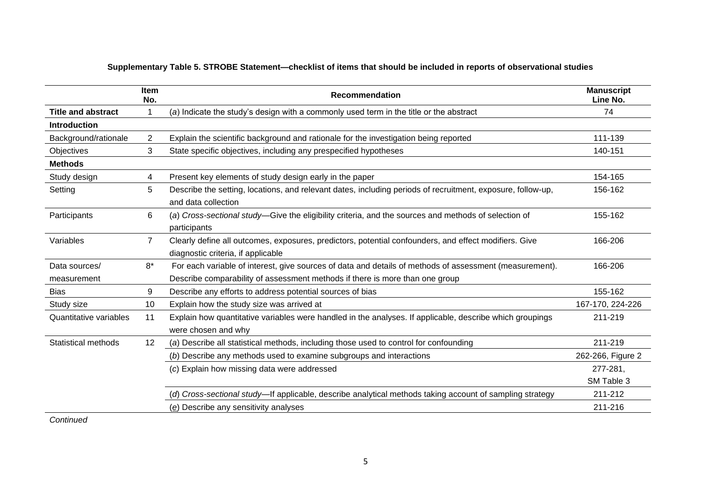|                               | <b>Item</b><br>No. | Recommendation                                                                                                                              | <b>Manuscript</b><br>Line No. |
|-------------------------------|--------------------|---------------------------------------------------------------------------------------------------------------------------------------------|-------------------------------|
| <b>Title and abstract</b>     |                    | (a) Indicate the study's design with a commonly used term in the title or the abstract                                                      | 74                            |
| <b>Introduction</b>           |                    |                                                                                                                                             |                               |
| Background/rationale          | $\overline{2}$     | Explain the scientific background and rationale for the investigation being reported                                                        | 111-139                       |
| Objectives                    | 3                  | State specific objectives, including any prespecified hypotheses                                                                            | 140-151                       |
| <b>Methods</b>                |                    |                                                                                                                                             |                               |
| Study design                  | 4                  | Present key elements of study design early in the paper                                                                                     | 154-165                       |
| Setting                       | 5                  | Describe the setting, locations, and relevant dates, including periods of recruitment, exposure, follow-up,<br>and data collection          | 156-162                       |
| Participants                  | 6                  | (a) Cross-sectional study-Give the eligibility criteria, and the sources and methods of selection of<br>participants                        | 155-162                       |
| Variables                     | $\overline{7}$     | Clearly define all outcomes, exposures, predictors, potential confounders, and effect modifiers. Give<br>diagnostic criteria, if applicable | 166-206                       |
| Data sources/                 | $8*$               | For each variable of interest, give sources of data and details of methods of assessment (measurement).                                     | 166-206                       |
| measurement                   |                    | Describe comparability of assessment methods if there is more than one group                                                                |                               |
| <b>Bias</b>                   | 9                  | Describe any efforts to address potential sources of bias                                                                                   | 155-162                       |
| Study size                    | 10                 | Explain how the study size was arrived at                                                                                                   | 167-170, 224-226              |
| <b>Quantitative variables</b> | 11                 | Explain how quantitative variables were handled in the analyses. If applicable, describe which groupings<br>were chosen and why             | 211-219                       |
| <b>Statistical methods</b>    | 12                 | (a) Describe all statistical methods, including those used to control for confounding                                                       | 211-219                       |
|                               |                    | (b) Describe any methods used to examine subgroups and interactions                                                                         | 262-266, Figure 2             |
|                               |                    | (c) Explain how missing data were addressed                                                                                                 | 277-281,                      |
|                               |                    |                                                                                                                                             | SM Table 3                    |
|                               |                    | (d) Cross-sectional study—If applicable, describe analytical methods taking account of sampling strategy                                    | 211-212                       |
|                               |                    | (e) Describe any sensitivity analyses                                                                                                       | 211-216                       |

## **Supplementary Table 5. STROBE Statement—checklist of items that should be included in reports of observational studies**

*Continued*